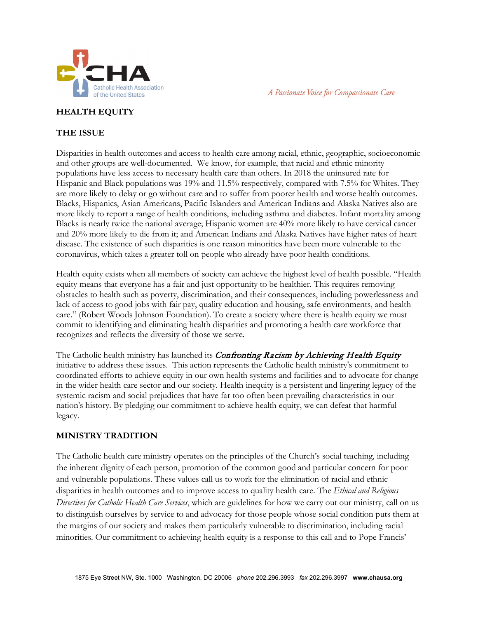

**HEALTH EQUITY**

## **THE ISSUE**

Disparities in health outcomes and access to health care among racial, ethnic, geographic, socioeconomic and other groups are well-documented. We know, for example, that racial and ethnic minority populations have less access to necessary health care than others. In 2018 the uninsured rate for Hispanic and Black populations was 19% and 11.5% respectively, compared with 7.5% for Whites. They are more likely to delay or go without care and to suffer from poorer health and worse health outcomes. Blacks, Hispanics, Asian Americans, Pacific Islanders and American Indians and Alaska Natives also are more likely to report a range of health conditions, including asthma and diabetes. Infant mortality among Blacks is nearly twice the national average; Hispanic women are 40% more likely to have cervical cancer and 20% more likely to die from it; and American Indians and Alaska Natives have higher rates of heart disease. The existence of such disparities is one reason minorities have been more vulnerable to the coronavirus, which takes a greater toll on people who already have poor health conditions.

A Passionate Voice for Compassionate Care

Health equity exists when all members of society can achieve the highest level of health possible. "Health equity means that everyone has a fair and just opportunity to be healthier. This requires removing obstacles to health such as poverty, discrimination, and their consequences, including powerlessness and lack of access to good jobs with fair pay, quality education and housing, safe environments, and health care." (Robert Woods Johnson Foundation). To create a society where there is health equity we must commit to identifying and eliminating health disparities and promoting a health care workforce that recognizes and reflects the diversity of those we serve.

The Catholic health ministry has launched its **Confronting Racism by Achieving Health Equity** initiative to address these issues. This action represents the Catholic health ministry's commitment to coordinated efforts to achieve equity in our own health systems and facilities and to advocate for change in the wider health care sector and our society. Health inequity is a persistent and lingering legacy of the systemic racism and social prejudices that have far too often been prevailing characteristics in our nation's history. By pledging our commitment to achieve health equity, we can defeat that harmful legacy.

## **MINISTRY TRADITION**

The Catholic health care ministry operates on the principles of the Church's social teaching, including the inherent dignity of each person, promotion of the common good and particular concern for poor and vulnerable populations. These values call us to work for the elimination of racial and ethnic disparities in health outcomes and to improve access to quality health care. The *Ethical and Religious Directives for Catholic Health Care Services*, which are guidelines for how we carry out our ministry, call on us to distinguish ourselves by service to and advocacy for those people whose social condition puts them at the margins of our society and makes them particularly vulnerable to discrimination, including racial minorities. Our commitment to achieving health equity is a response to this call and to Pope Francis'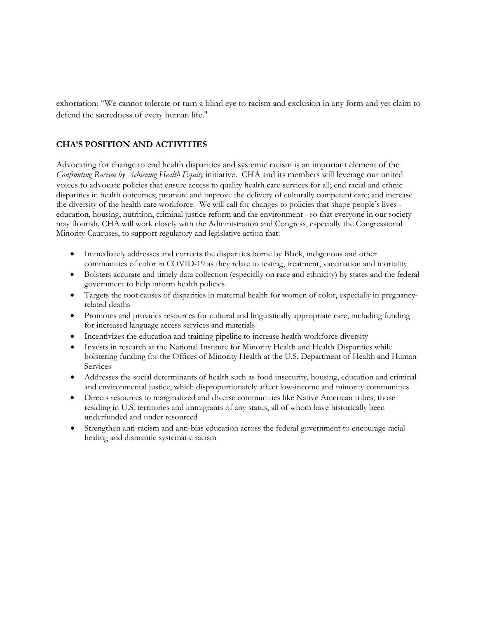exhortation: "We cannot tolerate or turn a blind eye to racism and exclusion in any form and yet claim to defend the sacredness of every human life."

## **CHA'S POSITION AND ACTIVITIES**

Advocating for change to end health disparities and systemic racism is an important element of the *Confronting Racism by Achieving Health Equity* initiative. CHA and its members will leverage our united voices to advocate policies that ensure access to quality health care services for all; end racial and ethnic disparities in health outcomes; promote and improve the delivery of culturally competent care; and increase the diversity of the health care workforce. We will call for changes to policies that shape people's lives education, housing, nutrition, criminal justice reform and the environment - so that everyone in our society may flourish. CHA will work closely with the Administration and Congress, especially the Congressional Minority Caucuses, to support regulatory and legislative action that:

- Immediately addresses and corrects the disparities borne by Black, indigenous and other communities of color in COVID-19 as they relate to testing, treatment, vaccination and mortality
- Bolsters accurate and timely data collection (especially on race and ethnicity) by states and the federal government to help inform health policies
- Targets the root causes of disparities in maternal health for women of color, especially in pregnancyrelated deaths
- Promotes and provides resources for cultural and linguistically appropriate care, including funding for increased language access services and materials
- Incentivizes the education and training pipeline to increase health workforce diversity
- Invests in research at the National Institute for Minority Health and Health Disparities while bolstering funding for the Offices of Minority Health at the U.S. Department of Health and Human Services
- Addresses the social determinants of health such as food insecurity, housing, education and criminal and environmental justice, which disproportionately affect low-income and minority communities
- Directs resources to marginalized and diverse communities like Native American tribes, those residing in U.S. territories and immigrants of any status, all of whom have historically been underfunded and under resourced
- Strengthen anti-racism and anti-bias education across the federal government to encourage racial healing and dismantle systematic racism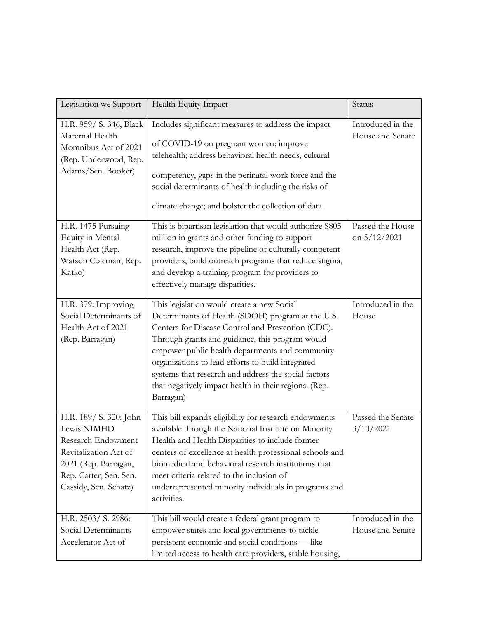| Legislation we Support                                                                                                                                          | Health Equity Impact                                                                                                                                                                                                                                                                                                                                                                                                                          | Status                                |
|-----------------------------------------------------------------------------------------------------------------------------------------------------------------|-----------------------------------------------------------------------------------------------------------------------------------------------------------------------------------------------------------------------------------------------------------------------------------------------------------------------------------------------------------------------------------------------------------------------------------------------|---------------------------------------|
| H.R. 959/ S. 346, Black<br>Maternal Health<br>Momnibus Act of 2021<br>(Rep. Underwood, Rep.<br>Adams/Sen. Booker)                                               | Includes significant measures to address the impact<br>of COVID-19 on pregnant women; improve<br>telehealth; address behavioral health needs, cultural<br>competency, gaps in the perinatal work force and the<br>social determinants of health including the risks of<br>climate change; and bolster the collection of data.                                                                                                                 | Introduced in the<br>House and Senate |
| H.R. 1475 Pursuing<br>Equity in Mental<br>Health Act (Rep.<br>Watson Coleman, Rep.<br>Katko)                                                                    | This is bipartisan legislation that would authorize \$805<br>million in grants and other funding to support<br>research, improve the pipeline of culturally competent<br>providers, build outreach programs that reduce stigma,<br>and develop a training program for providers to<br>effectively manage disparities.                                                                                                                         | Passed the House<br>on $5/12/2021$    |
| H.R. 379: Improving<br>Social Determinants of<br>Health Act of 2021<br>(Rep. Barragan)                                                                          | This legislation would create a new Social<br>Determinants of Health (SDOH) program at the U.S.<br>Centers for Disease Control and Prevention (CDC).<br>Through grants and guidance, this program would<br>empower public health departments and community<br>organizations to lead efforts to build integrated<br>systems that research and address the social factors<br>that negatively impact health in their regions. (Rep.<br>Barragan) | Introduced in the<br>House            |
| H.R. 189/ S. 320: John<br>Lewis NIMHD<br>Research Endowment<br>Revitalization Act of<br>2021 (Rep. Barragan,<br>Rep. Carter, Sen. Sen.<br>Cassidy, Sen. Schatz) | This bill expands eligibility for research endowments<br>available through the National Institute on Minority<br>Health and Health Disparities to include former<br>centers of excellence at health professional schools and<br>biomedical and behavioral research institutions that<br>meet criteria related to the inclusion of<br>underrepresented minority individuals in programs and<br>activities.                                     | Passed the Senate<br>3/10/2021        |
| H.R. 2503/ S. 2986:<br>Social Determinants<br>Accelerator Act of                                                                                                | This bill would create a federal grant program to<br>empower states and local governments to tackle<br>persistent economic and social conditions - like<br>limited access to health care providers, stable housing,                                                                                                                                                                                                                           | Introduced in the<br>House and Senate |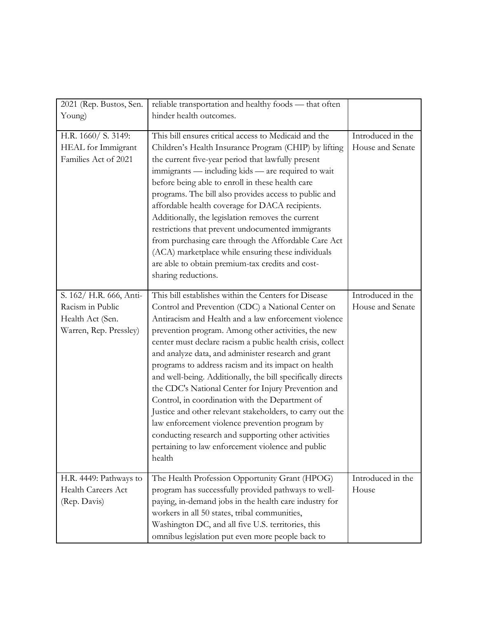| 2021 (Rep. Bustos, Sen.                                                                   | reliable transportation and healthy foods - that often                                                                                                                                                                                                                                                                                                                                                                                                                                                                                                                                                                                                                                                                                                                                                             |                                       |
|-------------------------------------------------------------------------------------------|--------------------------------------------------------------------------------------------------------------------------------------------------------------------------------------------------------------------------------------------------------------------------------------------------------------------------------------------------------------------------------------------------------------------------------------------------------------------------------------------------------------------------------------------------------------------------------------------------------------------------------------------------------------------------------------------------------------------------------------------------------------------------------------------------------------------|---------------------------------------|
| Young)                                                                                    | hinder health outcomes.                                                                                                                                                                                                                                                                                                                                                                                                                                                                                                                                                                                                                                                                                                                                                                                            |                                       |
| H.R. 1660/ S. 3149:<br>HEAL for Immigrant<br>Families Act of 2021                         | This bill ensures critical access to Medicaid and the<br>Children's Health Insurance Program (CHIP) by lifting<br>the current five-year period that lawfully present<br>immigrants — including kids — are required to wait<br>before being able to enroll in these health care<br>programs. The bill also provides access to public and<br>affordable health coverage for DACA recipients.<br>Additionally, the legislation removes the current<br>restrictions that prevent undocumented immigrants<br>from purchasing care through the Affordable Care Act<br>(ACA) marketplace while ensuring these individuals<br>are able to obtain premium-tax credits and cost-<br>sharing reductions.                                                                                                                      | Introduced in the<br>House and Senate |
| S. 162/ H.R. 666, Anti-<br>Racism in Public<br>Health Act (Sen.<br>Warren, Rep. Pressley) | This bill establishes within the Centers for Disease<br>Control and Prevention (CDC) a National Center on<br>Antiracism and Health and a law enforcement violence<br>prevention program. Among other activities, the new<br>center must declare racism a public health crisis, collect<br>and analyze data, and administer research and grant<br>programs to address racism and its impact on health<br>and well-being. Additionally, the bill specifically directs<br>the CDC's National Center for Injury Prevention and<br>Control, in coordination with the Department of<br>Justice and other relevant stakeholders, to carry out the<br>law enforcement violence prevention program by<br>conducting research and supporting other activities<br>pertaining to law enforcement violence and public<br>health | Introduced in the<br>House and Senate |
| H.R. 4449: Pathways to<br><b>Health Careers Act</b><br>(Rep. Davis)                       | The Health Profession Opportunity Grant (HPOG)<br>program has successfully provided pathways to well-<br>paying, in-demand jobs in the health care industry for<br>workers in all 50 states, tribal communities,<br>Washington DC, and all five U.S. territories, this<br>omnibus legislation put even more people back to                                                                                                                                                                                                                                                                                                                                                                                                                                                                                         | Introduced in the<br>House            |